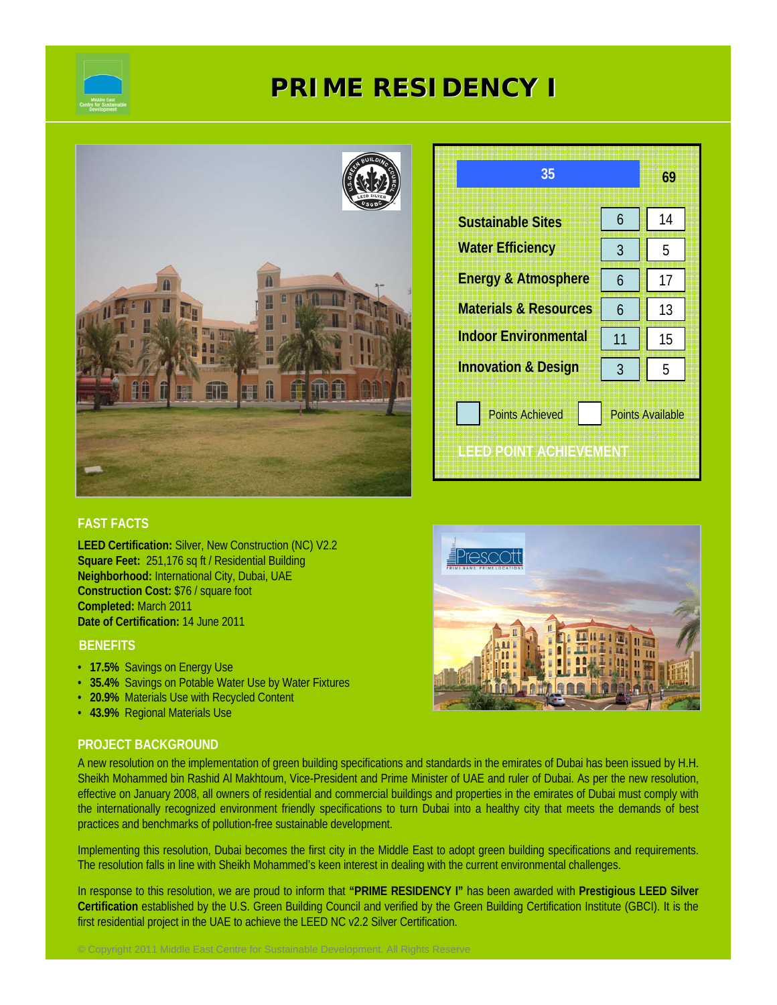

# **PRIME RESIDENCY I**



| 35                                                                          |    | 69 |  |
|-----------------------------------------------------------------------------|----|----|--|
| <b>Sustainable Sites</b>                                                    | 6  | 14 |  |
| <b>Water Efficiency</b>                                                     | 3  | 5  |  |
| <b>Energy &amp; Atmosphere</b>                                              | 6  | 17 |  |
| <b>Materials &amp; Resources</b>                                            | 6  | 13 |  |
| <b>Indoor Environmental</b>                                                 | 11 | 15 |  |
| <b>Innovation &amp; Design</b>                                              | 3  | 5  |  |
| <b>Points Achieved</b><br><b>Points Available</b><br>ILED POINT ACHIEVEMENT |    |    |  |

### **FAST FACTS**

**LEED Certification:** Silver, New Construction (NC) V2.2 **Square Feet:** 251,176 sq ft / Residential Building **Neighborhood:** International City, Dubai, UAE **Construction Cost:** \$76 / square foot **Completed:** March 2011 **Date of Certification:** 14 June 2011

#### **BENEFITS**

- **17.5%** Savings on Energy Use
- **35.4%** Savings on Potable Water Use by Water Fixtures

© Copyright 2011 Middle East Centre for Sustainable Development. All Rights Reserve

- **20.9%** Materials Use with Recycled Content
- **43.9%** Regional Materials Use

#### **PROJECT BACKGROUND**



Implementing this resolution, Dubai becomes the first city in the Middle East to adopt green building specifications and requirements. The resolution falls in line with Sheikh Mohammed's keen interest in dealing with the current environmental challenges.

In response to this resolution, we are proud to inform that **"PRIME RESIDENCY I"** has been awarded with **Prestigious LEED Silver Certification** established by the U.S. Green Building Council and verified by the Green Building Certification Institute (GBCI). It is the first residential project in the UAE to achieve the LEED NC v2.2 Silver Certification.

hescott